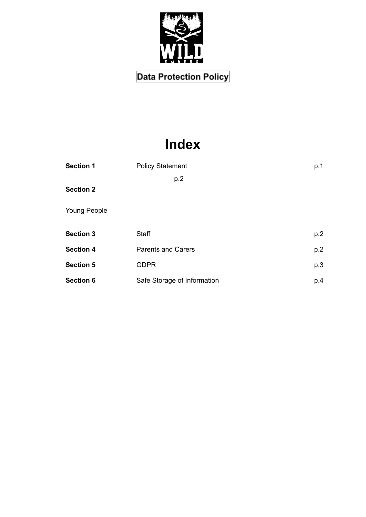

# **Index**

| <b>Section 1</b>    | <b>Policy Statement</b>     | p.1 |
|---------------------|-----------------------------|-----|
|                     | p.2                         |     |
| <b>Section 2</b>    |                             |     |
| <b>Young People</b> |                             |     |
| <b>Section 3</b>    | Staff                       | p.2 |
| <b>Section 4</b>    | <b>Parents and Carers</b>   | p.2 |
| <b>Section 5</b>    | <b>GDPR</b>                 | p.3 |
| <b>Section 6</b>    | Safe Storage of Information | p.4 |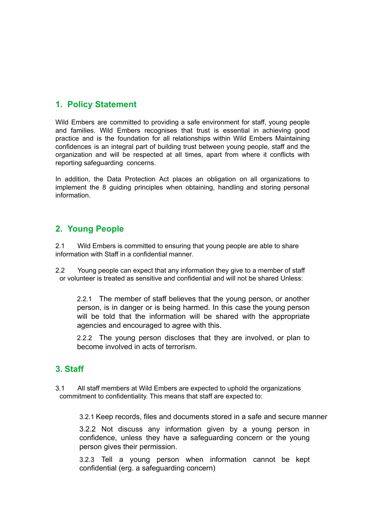## **1. Policy Statement**

Wild Embers are committed to providing a safe environment for staff, young people and families. Wild Embers recognises that trust is essential in achieving good practice and is the foundation for all relationships within Wild Embers Maintaining confidences is an integral part of building trust between young people, staff and the organization and will be respected at all times, apart from where it conflicts with reporting safeguarding concerns.

In addition, the Data Protection Act places an obligation on all organizations to implement the 8 guiding principles when obtaining, handling and storing personal information.

### **2. Young People**

2.1 Wild Embers is committed to ensuring that young people are able to share information with Staff in a confidential manner.

2.2 Young people can expect that any information they give to a member of staff or volunteer is treated as sensitive and confidential and will not be shared Unless:

2.2.1 The member of staff believes that the young person, or another person, is in danger or is being harmed. In this case the young person will be told that the information will be shared with the appropriate agencies and encouraged to agree with this.

2.2.2 The young person discloses that they are involved, or plan to become involved in acts of terrorism.

## **3. Staff**

3.1 All staff members at Wild Embers are expected to uphold the organizations commitment to confidentiality. This means that staff are expected to:

3.2.1 Keep records, files and documents stored in a safe and secure manner

3.2.2 Not discuss any information given by a young person in confidence, unless they have a safeguarding concern or the young person gives their permission.

3.2.3 Tell a young person when information cannot be kept confidential (erg. a safeguarding concern)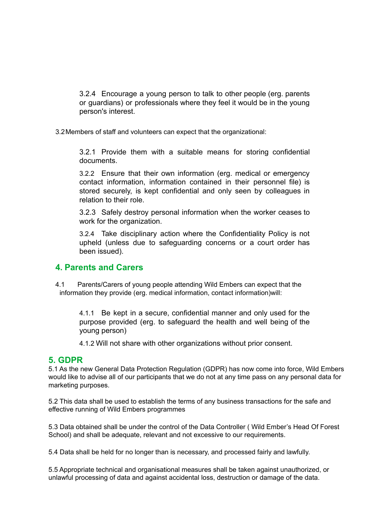3.2.4 Encourage a young person to talk to other people (erg. parents or guardians) or professionals where they feel it would be in the young person's interest.

3.2Members of staff and volunteers can expect that the organizational:

3.2.1 Provide them with a suitable means for storing confidential documents.

3.2.2 Ensure that their own information (erg. medical or emergency contact information, information contained in their personnel file) is stored securely, is kept confidential and only seen by colleagues in relation to their role.

3.2.3 Safely destroy personal information when the worker ceases to work for the organization.

3.2.4 Take disciplinary action where the Confidentiality Policy is not upheld (unless due to safeguarding concerns or a court order has been issued).

#### **4. Parents and Carers**

4.1 Parents/Carers of young people attending Wild Embers can expect that the information they provide (erg. medical information, contact information)will:

4.1.1 Be kept in a secure, confidential manner and only used for the purpose provided (erg. to safeguard the health and well being of the young person)

4.1.2 Will not share with other organizations without prior consent.

#### **5. GDPR**

5.1 As the new General Data Protection Regulation (GDPR) has now come into force, Wild Embers would like to advise all of our participants that we do not at any time pass on any personal data for marketing purposes.

5.2 This data shall be used to establish the terms of any business transactions for the safe and effective running of Wild Embers programmes

5.3 Data obtained shall be under the control of the Data Controller ( Wild Ember's Head Of Forest School) and shall be adequate, relevant and not excessive to our requirements.

5.4 Data shall be held for no longer than is necessary, and processed fairly and lawfully.

5.5 Appropriate technical and organisational measures shall be taken against unauthorized, or unlawful processing of data and against accidental loss, destruction or damage of the data.